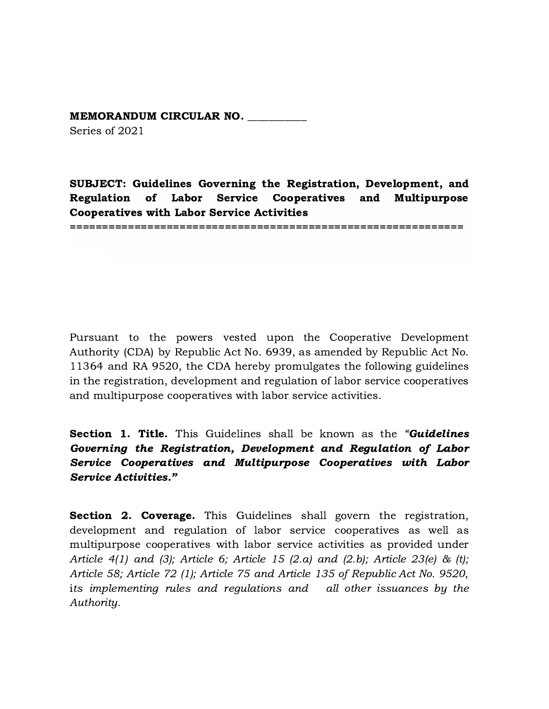## MEMORANDUM CIRCULAR NO. \_\_\_\_\_\_\_\_\_\_\_ Series of 2021

SUBJECT: Guidelines Governing the Registration, Development, and Regulation of Labor Service Cooperatives and Multipurpose Cooperatives with Labor Service Activities

=============================================================

Pursuant to the powers vested upon the Cooperative Development Authority (CDA) by Republic Act No. 6939, as amended by Republic Act No. 11364 and RA 9520, the CDA hereby promulgates the following guidelines in the registration, development and regulation of labor service cooperatives and multipurpose cooperatives with labor service activities.

**Section 1. Title.** This Guidelines shall be known as the "**Guidelines** Governing the Registration, Development and Regulation of Labor Service Cooperatives and Multipurpose Cooperatives with Labor Service Activities."

**Section 2. Coverage.** This Guidelines shall govern the registration, development and regulation of labor service cooperatives as well as multipurpose cooperatives with labor service activities as provided under Article 4(1) and (3); Article 6; Article 15 (2.a) and (2.b); Article 23(e) & (t); Article 58; Article 72 (1); Article 75 and Article 135 of Republic Act No. 9520, its implementing rules and regulations and all other issuances by the Authority.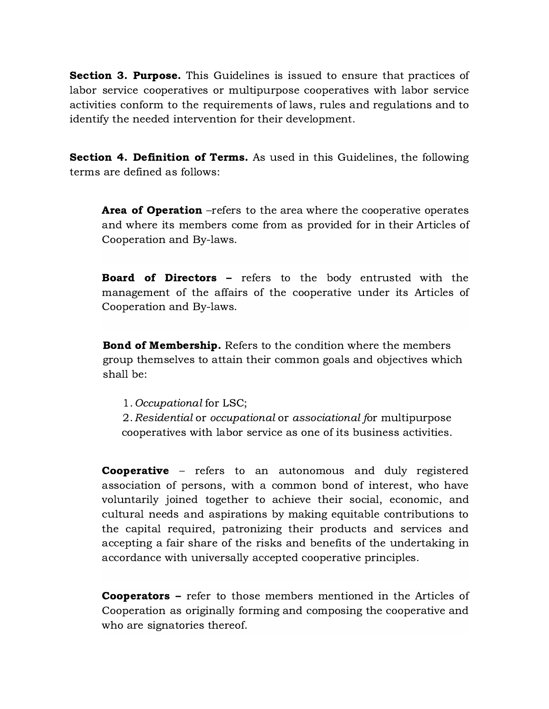**Section 3. Purpose.** This Guidelines is issued to ensure that practices of labor service cooperatives or multipurpose cooperatives with labor service activities conform to the requirements of laws, rules and regulations and to identify the needed intervention for their development.

Section 4. Definition of Terms. As used in this Guidelines, the following terms are defined as follows:

**Area of Operation** –refers to the area where the cooperative operates and where its members come from as provided for in their Articles of Cooperation and By-laws.

Board of Directors – refers to the body entrusted with the management of the affairs of the cooperative under its Articles of Cooperation and By-laws.

**Bond of Membership.** Refers to the condition where the members group themselves to attain their common goals and objectives which shall be:

1.Occupational for LSC;

2. Residential or occupational or associational for multipurpose cooperatives with labor service as one of its business activities.

**Cooperative** – refers to an autonomous and duly registered association of persons, with a common bond of interest, who have voluntarily joined together to achieve their social, economic, and cultural needs and aspirations by making equitable contributions to the capital required, patronizing their products and services and accepting a fair share of the risks and benefits of the undertaking in accordance with universally accepted cooperative principles.

**Cooperators** – refer to those members mentioned in the Articles of Cooperation as originally forming and composing the cooperative and who are signatories thereof.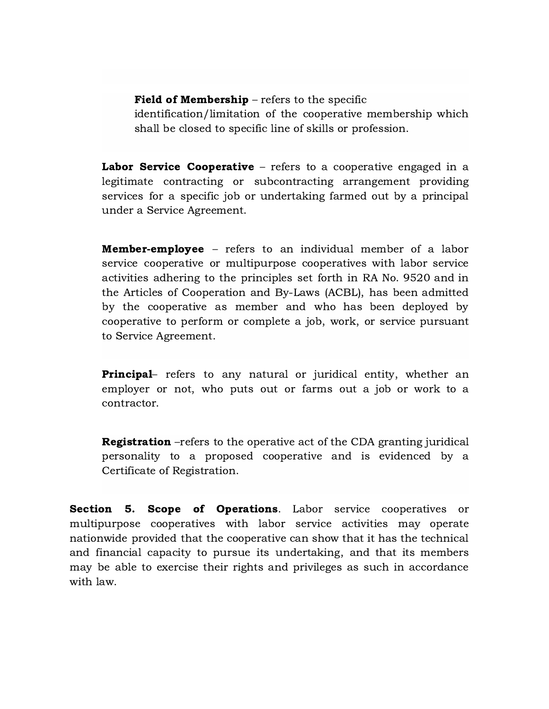## Field of Membership – refers to the specific

identification/limitation of the cooperative membership which shall be closed to specific line of skills or profession.

Labor Service Cooperative – refers to a cooperative engaged in a legitimate contracting or subcontracting arrangement providing services for a specific job or undertaking farmed out by a principal under a Service Agreement.

Member-employee – refers to an individual member of a labor service cooperative or multipurpose cooperatives with labor service activities adhering to the principles set forth in RA No. 9520 and in the Articles of Cooperation and By-Laws (ACBL), has been admitted by the cooperative as member and who has been deployed by cooperative to perform or complete a job, work, or service pursuant to Service Agreement.

**Principal**– refers to any natural or juridical entity, whether an employer or not, who puts out or farms out a job or work to a contractor.

Registration –refers to the operative act of the CDA granting juridical personality to a proposed cooperative and is evidenced by a Certificate of Registration.

Section 5. Scope of Operations. Labor service cooperatives or multipurpose cooperatives with labor service activities may operate nationwide provided that the cooperative can show that it has the technical and financial capacity to pursue its undertaking, and that its members may be able to exercise their rights and privileges as such in accordance with law.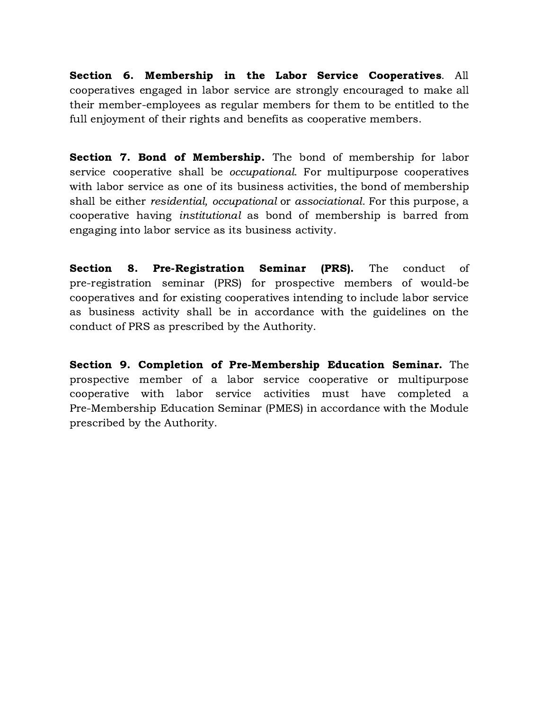Section 6. Membership in the Labor Service Cooperatives. All cooperatives engaged in labor service are strongly encouraged to make all their member-employees as regular members for them to be entitled to the full enjoyment of their rights and benefits as cooperative members.

Section 7. Bond of Membership. The bond of membership for labor service cooperative shall be *occupational*. For multipurpose cooperatives with labor service as one of its business activities, the bond of membership shall be either residential, occupational or associational. For this purpose, a cooperative having institutional as bond of membership is barred from engaging into labor service as its business activity.

Section 8. Pre-Registration Seminar (PRS). The conduct of pre-registration seminar (PRS) for prospective members of would-be cooperatives and for existing cooperatives intending to include labor service as business activity shall be in accordance with the guidelines on the conduct of PRS as prescribed by the Authority.

Section 9. Completion of Pre-Membership Education Seminar. The prospective member of a labor service cooperative or multipurpose cooperative with labor service activities must have completed a Pre-Membership Education Seminar (PMES) in accordance with the Module prescribed by the Authority.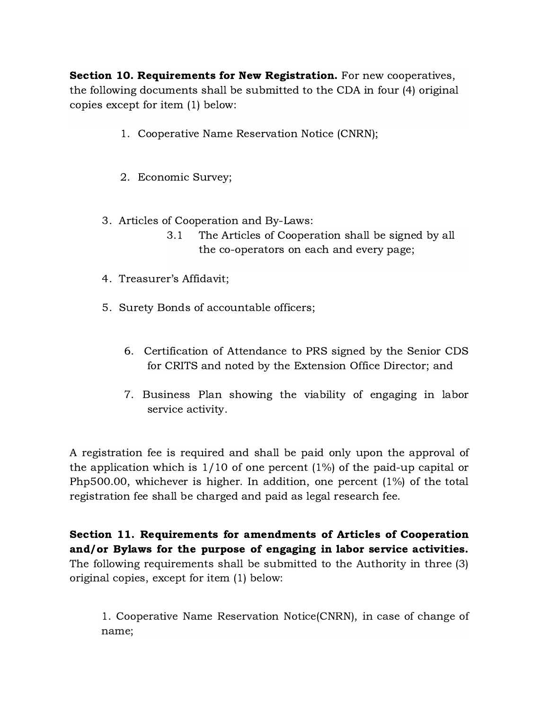Section 10. Requirements for New Registration. For new cooperatives, the following documents shall be submitted to the CDA in four (4) original copies except for item (1) below:

- 1. Cooperative Name Reservation Notice (CNRN);
- 2. Economic Survey;
- 3. Articles of Cooperation and By-Laws:
	- 3.1 The Articles of Cooperation shall be signed by all the co-operators on each and every page;
- 4. Treasurer's Affidavit;
- 5. Surety Bonds of accountable officers;
	- 6. Certification of Attendance to PRS signed by the Senior CDS for CRITS and noted by the Extension Office Director; and
	- 7. Business Plan showing the viability of engaging in labor service activity.

A registration fee is required and shall be paid only upon the approval of the application which is  $1/10$  of one percent  $(1%)$  of the paid-up capital or Php500.00, whichever is higher. In addition, one percent (1%) of the total registration fee shall be charged and paid as legal research fee.

Section 11. Requirements for amendments of Articles of Cooperation and/or Bylaws for the purpose of engaging in labor service activities. The following requirements shall be submitted to the Authority in three (3) original copies, except for item (1) below:

1. Cooperative Name Reservation Notice(CNRN), in case of change of name;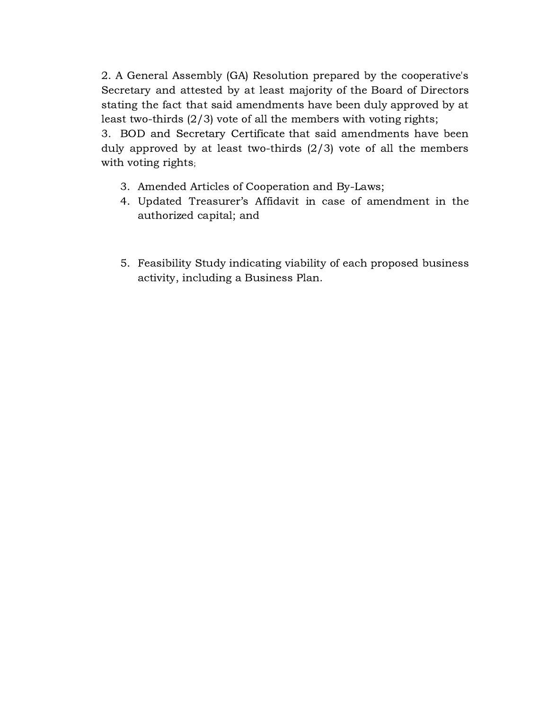2. A General Assembly (GA) Resolution prepared by the cooperative's Secretary and attested by at least majority of the Board of Directors stating the fact that said amendments have been duly approved by at least two-thirds (2/3) vote of all the members with voting rights;

3. BOD and Secretary Certificate that said amendments have been duly approved by at least two-thirds (2/3) vote of all the members with voting rights;

- 3. Amended Articles of Cooperation and By-Laws;
- 4. Updated Treasurer's Affidavit in case of amendment in the authorized capital; and
- 5. Feasibility Study indicating viability of each proposed business activity, including a Business Plan.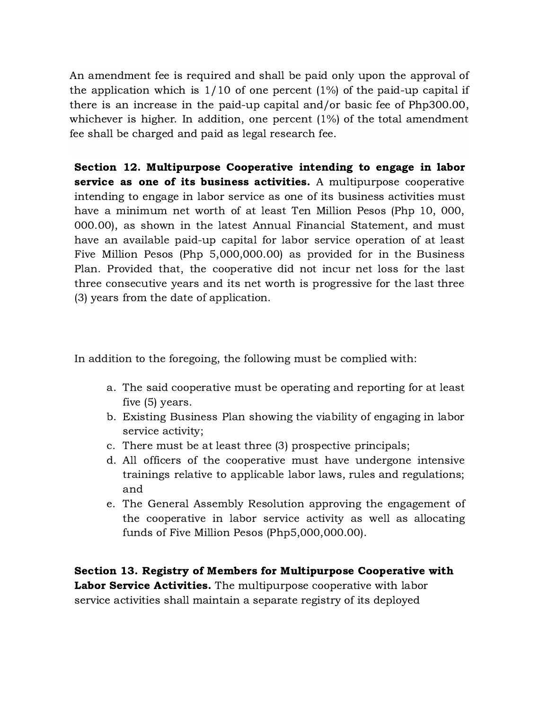An amendment fee is required and shall be paid only upon the approval of the application which is  $1/10$  of one percent  $(1%)$  of the paid-up capital if there is an increase in the paid-up capital and/or basic fee of Php300.00, whichever is higher. In addition, one percent (1%) of the total amendment fee shall be charged and paid as legal research fee.

Section 12. Multipurpose Cooperative intending to engage in labor service as one of its business activities. A multipurpose cooperative intending to engage in labor service as one of its business activities must have a minimum net worth of at least Ten Million Pesos (Php 10, 000, 000.00), as shown in the latest Annual Financial Statement, and must have an available paid-up capital for labor service operation of at least Five Million Pesos (Php 5,000,000.00) as provided for in the Business Plan. Provided that, the cooperative did not incur net loss for the last three consecutive years and its net worth is progressive for the last three (3) years from the date of application.

In addition to the foregoing, the following must be complied with:

- a. The said cooperative must be operating and reporting for at least five (5) years.
- b. Existing Business Plan showing the viability of engaging in labor service activity;
- c. There must be at least three (3) prospective principals;
- d. All officers of the cooperative must have undergone intensive trainings relative to applicable labor laws, rules and regulations; and
- e. The General Assembly Resolution approving the engagement of the cooperative in labor service activity as well as allocating funds of Five Million Pesos (Php5,000,000.00).

Section 13. Registry of Members for Multipurpose Cooperative with Labor Service Activities. The multipurpose cooperative with labor service activities shall maintain a separate registry of its deployed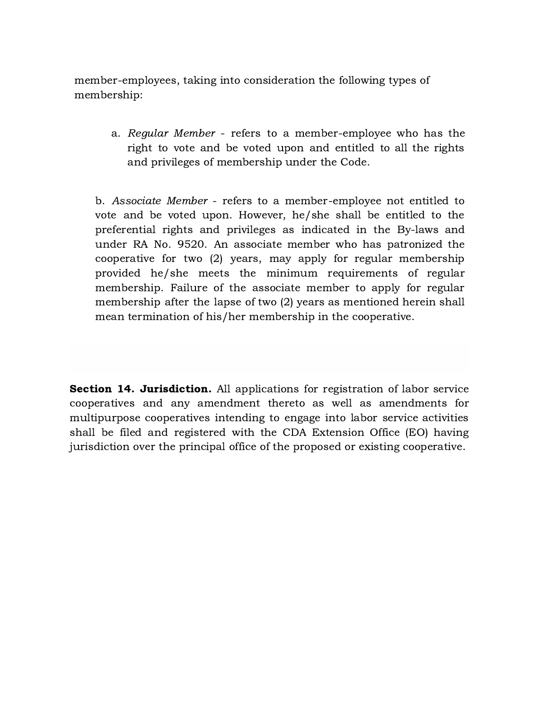member-employees, taking into consideration the following types of membership:

> a. Regular Member - refers to a member-employee who has the right to vote and be voted upon and entitled to all the rights and privileges of membership under the Code.

b. Associate Member - refers to a member-employee not entitled to vote and be voted upon. However, he/she shall be entitled to the preferential rights and privileges as indicated in the By-laws and under RA No. 9520. An associate member who has patronized the cooperative for two (2) years, may apply for regular membership provided he/she meets the minimum requirements of regular membership. Failure of the associate member to apply for regular membership after the lapse of two (2) years as mentioned herein shall mean termination of his/her membership in the cooperative.

Section 14. Jurisdiction. All applications for registration of labor service cooperatives and any amendment thereto as well as amendments for multipurpose cooperatives intending to engage into labor service activities shall be filed and registered with the CDA Extension Office (EO) having jurisdiction over the principal office of the proposed or existing cooperative.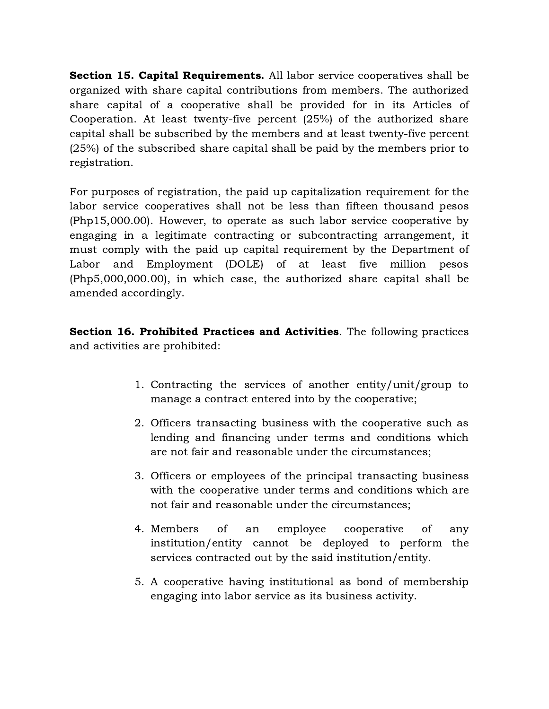Section 15. Capital Requirements. All labor service cooperatives shall be organized with share capital contributions from members. The authorized share capital of a cooperative shall be provided for in its Articles of Cooperation. At least twenty-five percent (25%) of the authorized share capital shall be subscribed by the members and at least twenty-five percent (25%) of the subscribed share capital shall be paid by the members prior to registration.

For purposes of registration, the paid up capitalization requirement for the labor service cooperatives shall not be less than fifteen thousand pesos (Php15,000.00). However, to operate as such labor service cooperative by engaging in a legitimate contracting or subcontracting arrangement, it must comply with the paid up capital requirement by the Department of Labor and Employment (DOLE) of at least five million pesos (Php5,000,000.00), in which case, the authorized share capital shall be amended accordingly.

Section 16. Prohibited Practices and Activities. The following practices and activities are prohibited:

- 1. Contracting the services of another entity/unit/group to manage a contract entered into by the cooperative;
- 2. Officers transacting business with the cooperative such as lending and financing under terms and conditions which are not fair and reasonable under the circumstances;
- 3. Officers or employees of the principal transacting business with the cooperative under terms and conditions which are not fair and reasonable under the circumstances;
- 4. Members of an employee cooperative of any institution/entity cannot be deployed to perform the services contracted out by the said institution/entity.
- 5. A cooperative having institutional as bond of membership engaging into labor service as its business activity.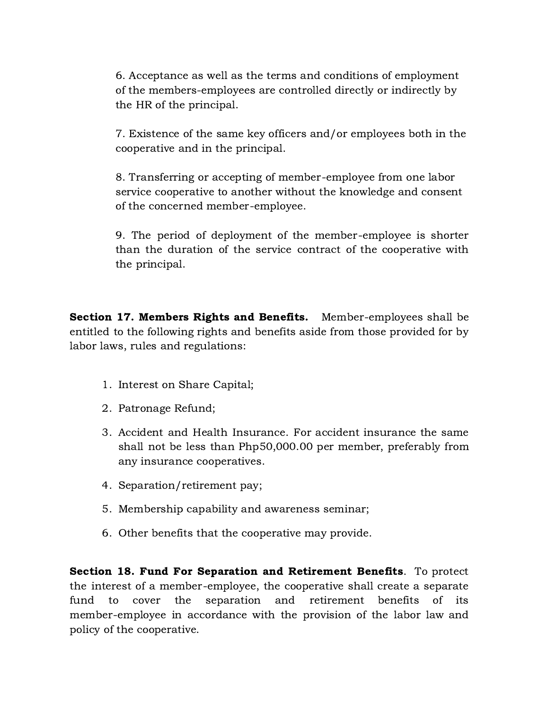6. Acceptance as well as the terms and conditions of employment of the members-employees are controlled directly or indirectly by the HR of the principal.

7. Existence of the same key officers and/or employees both in the cooperative and in the principal.

8. Transferring or accepting of member-employee from one labor service cooperative to another without the knowledge and consent of the concerned member-employee.

9. The period of deployment of the member-employee is shorter than the duration of the service contract of the cooperative with the principal.

Section 17. Members Rights and Benefits. Member-employees shall be entitled to the following rights and benefits aside from those provided for by labor laws, rules and regulations:

- 1. Interest on Share Capital;
- 2. Patronage Refund;
- 3. Accident and Health Insurance. For accident insurance the same shall not be less than Php50,000.00 per member, preferably from any insurance cooperatives.
- 4. Separation/retirement pay;
- 5. Membership capability and awareness seminar;
- 6. Other benefits that the cooperative may provide.

Section 18. Fund For Separation and Retirement Benefits. To protect the interest of a member-employee, the cooperative shall create a separate fund to cover the separation and retirement benefits of its member-employee in accordance with the provision of the labor law and policy of the cooperative.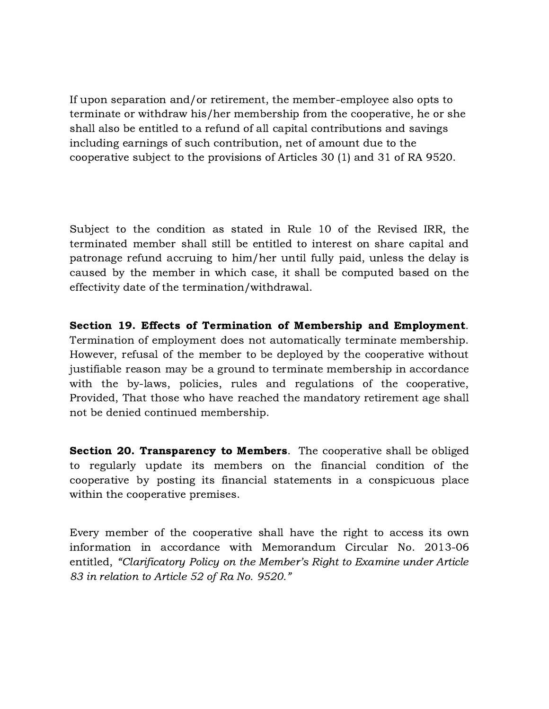If upon separation and/or retirement, the member-employee also opts to terminate or withdraw his/her membership from the cooperative, he or she shall also be entitled to a refund of all capital contributions and savings including earnings of such contribution, net of amount due to the cooperative subject to the provisions of Articles 30 (1) and 31 of RA 9520.

Subject to the condition as stated in Rule 10 of the Revised IRR, the terminated member shall still be entitled to interest on share capital and patronage refund accruing to him/her until fully paid, unless the delay is caused by the member in which case, it shall be computed based on the effectivity date of the termination/withdrawal.

Section 19. Effects of Termination of Membership and Employment. Termination of employment does not automatically terminate membership. However, refusal of the member to be deployed by the cooperative without justifiable reason may be a ground to terminate membership in accordance with the by-laws, policies, rules and regulations of the cooperative, Provided, That those who have reached the mandatory retirement age shall not be denied continued membership.

Section 20. Transparency to Members. The cooperative shall be obliged to regularly update its members on the financial condition of the cooperative by posting its financial statements in a conspicuous place within the cooperative premises.

Every member of the cooperative shall have the right to access its own information in accordance with Memorandum Circular No. 2013-06 entitled, "Clarificatory Policy on the Member's Right to Examine under Article 83 in relation to Article 52 of Ra No. 9520."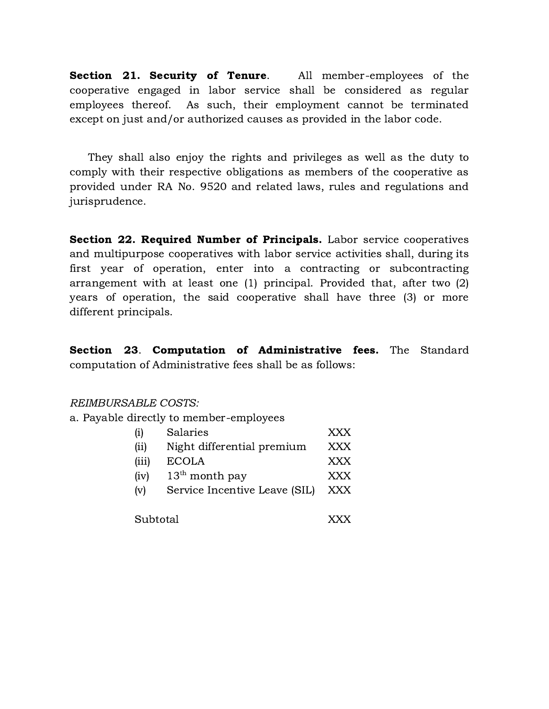Section 21. Security of Tenure. All member-employees of the cooperative engaged in labor service shall be considered as regular employees thereof. As such, their employment cannot be terminated except on just and/or authorized causes as provided in the labor code.

They shall also enjoy the rights and privileges as well as the duty to comply with their respective obligations as members of the cooperative as provided under RA No. 9520 and related laws, rules and regulations and jurisprudence.

Section 22. Required Number of Principals. Labor service cooperatives and multipurpose cooperatives with labor service activities shall, during its first year of operation, enter into a contracting or subcontracting arrangement with at least one (1) principal. Provided that, after two (2) years of operation, the said cooperative shall have three (3) or more different principals.

Section 23. Computation of Administrative fees. The Standard computation of Administrative fees shall be as follows:

REIMBURSABLE COSTS:

a. Payable directly to member-employees

| (i)      | Salaries                      | XXX        |
|----------|-------------------------------|------------|
| (ii)     | Night differential premium    | XXX        |
| (iii)    | <b>ECOLA</b>                  | XXX        |
| (iv)     | $13th$ month pay              | XXX        |
| (v)      | Service Incentive Leave (SIL) | <b>XXX</b> |
|          |                               |            |
| Subtotal |                               | XXX        |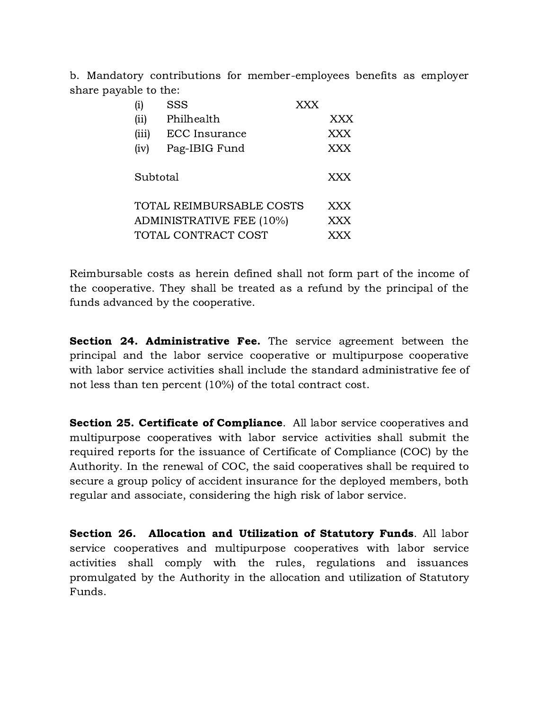b. Mandatory contributions for member-employees benefits as employer share payable to the:

| (i)                      | <b>SSS</b>    | <b>XXX</b> |            |
|--------------------------|---------------|------------|------------|
| (ii)                     | Philhealth    |            | XXX        |
| (iii)                    | ECC Insurance |            | XXX        |
| (iv)                     | Pag-IBIG Fund |            | XXX        |
| Subtotal                 |               | XXX        |            |
| TOTAL REIMBURSABLE COSTS |               |            | XXX        |
| ADMINISTRATIVE FEE (10%) |               |            | XXX        |
| TOTAL CONTRACT COST      |               |            | <b>XXX</b> |

Reimbursable costs as herein defined shall not form part of the income of the cooperative. They shall be treated as a refund by the principal of the funds advanced by the cooperative.

Section 24. Administrative Fee. The service agreement between the principal and the labor service cooperative or multipurpose cooperative with labor service activities shall include the standard administrative fee of not less than ten percent (10%) of the total contract cost.

Section 25. Certificate of Compliance. All labor service cooperatives and multipurpose cooperatives with labor service activities shall submit the required reports for the issuance of Certificate of Compliance (COC) by the Authority. In the renewal of COC, the said cooperatives shall be required to secure a group policy of accident insurance for the deployed members, both regular and associate, considering the high risk of labor service.

Section 26. Allocation and Utilization of Statutory Funds. All labor service cooperatives and multipurpose cooperatives with labor service activities shall comply with the rules, regulations and issuances promulgated by the Authority in the allocation and utilization of Statutory Funds.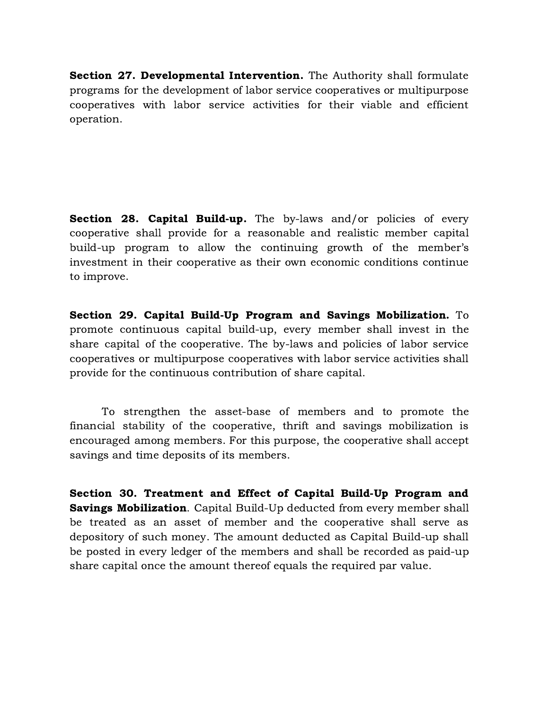Section 27. Developmental Intervention. The Authority shall formulate programs for the development of labor service cooperatives or multipurpose cooperatives with labor service activities for their viable and efficient operation.

**Section 28. Capital Build-up.** The by-laws and/or policies of every cooperative shall provide for a reasonable and realistic member capital build-up program to allow the continuing growth of the member's investment in their cooperative as their own economic conditions continue to improve.

Section 29. Capital Build-Up Program and Savings Mobilization. To promote continuous capital build-up, every member shall invest in the share capital of the cooperative. The by-laws and policies of labor service cooperatives or multipurpose cooperatives with labor service activities shall provide for the continuous contribution of share capital.

To strengthen the asset-base of members and to promote the financial stability of the cooperative, thrift and savings mobilization is encouraged among members. For this purpose, the cooperative shall accept savings and time deposits of its members.

Section 30. Treatment and Effect of Capital Build-Up Program and **Savings Mobilization.** Capital Build-Up deducted from every member shall be treated as an asset of member and the cooperative shall serve as depository of such money. The amount deducted as Capital Build-up shall be posted in every ledger of the members and shall be recorded as paid-up share capital once the amount thereof equals the required par value.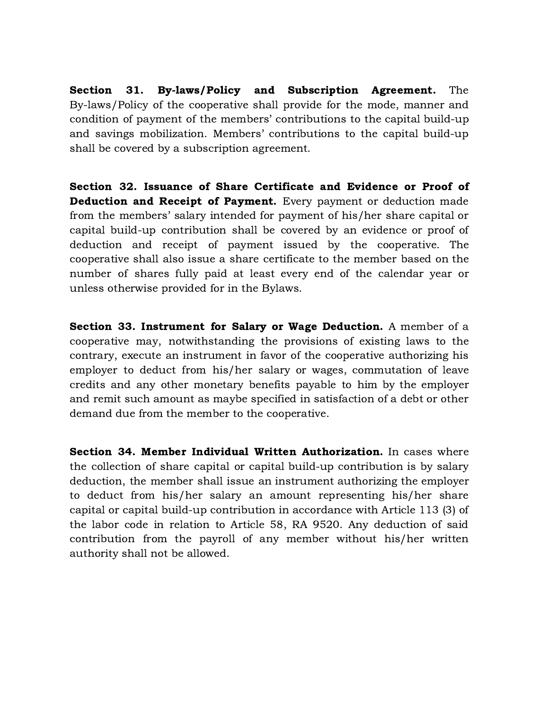Section 31. By-laws/Policy and Subscription Agreement. The By-laws/Policy of the cooperative shall provide for the mode, manner and condition of payment of the members' contributions to the capital build-up and savings mobilization. Members' contributions to the capital build-up shall be covered by a subscription agreement.

Section 32. Issuance of Share Certificate and Evidence or Proof of Deduction and Receipt of Payment. Every payment or deduction made from the members' salary intended for payment of his/her share capital or capital build-up contribution shall be covered by an evidence or proof of deduction and receipt of payment issued by the cooperative. The cooperative shall also issue a share certificate to the member based on the number of shares fully paid at least every end of the calendar year or unless otherwise provided for in the Bylaws.

Section 33. Instrument for Salary or Wage Deduction. A member of a cooperative may, notwithstanding the provisions of existing laws to the contrary, execute an instrument in favor of the cooperative authorizing his employer to deduct from his/her salary or wages, commutation of leave credits and any other monetary benefits payable to him by the employer and remit such amount as maybe specified in satisfaction of a debt or other demand due from the member to the cooperative.

Section 34. Member Individual Written Authorization. In cases where the collection of share capital or capital build-up contribution is by salary deduction, the member shall issue an instrument authorizing the employer to deduct from his/her salary an amount representing his/her share capital or capital build-up contribution in accordance with Article 113 (3) of the labor code in relation to Article 58, RA 9520. Any deduction of said contribution from the payroll of any member without his/her written authority shall not be allowed.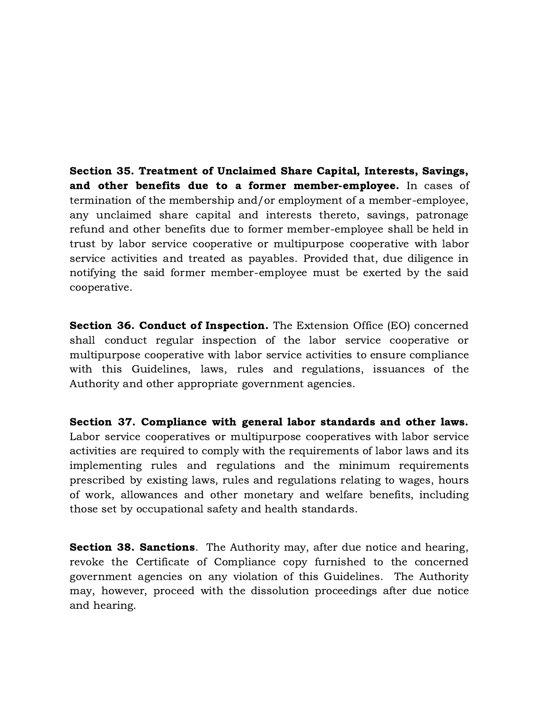Section 35. Treatment of Unclaimed Share Capital, Interests, Savings, and other benefits due to a former member-employee. In cases of termination of the membership and/or employment of a member-employee, any unclaimed share capital and interests thereto, savings, patronage refund and other benefits due to former member-employee shall be held in trust by labor service cooperative or multipurpose cooperative with labor service activities and treated as payables. Provided that, due diligence in notifying the said former member-employee must be exerted by the said cooperative.

Section 36. Conduct of Inspection. The Extension Office (EO) concerned shall conduct regular inspection of the labor service cooperative or multipurpose cooperative with labor service activities to ensure compliance with this Guidelines, laws, rules and regulations, issuances of the Authority and other appropriate government agencies.

Section 37. Compliance with general labor standards and other laws. Labor service cooperatives or multipurpose cooperatives with labor service activities are required to comply with the requirements of labor laws and its implementing rules and regulations and the minimum requirements prescribed by existing laws, rules and regulations relating to wages, hours of work, allowances and other monetary and welfare benefits, including those set by occupational safety and health standards.

**Section 38. Sanctions.** The Authority may, after due notice and hearing, revoke the Certificate of Compliance copy furnished to the concerned government agencies on any violation of this Guidelines. The Authority may, however, proceed with the dissolution proceedings after due notice and hearing.